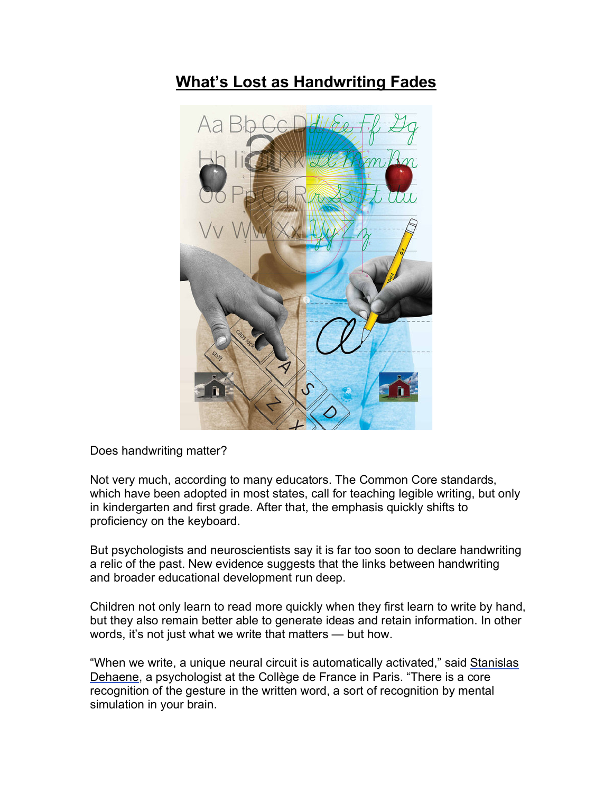## **What's Lost as Handwriting Fades**



Does handwriting matter?

Not very much, according to many educators. The Common Core standards, which have been adopted in most states, call for teaching legible writing, but only in kindergarten and first grade. After that, the emphasis quickly shifts to proficiency on the keyboard.

But psychologists and neuroscientists say it is far too soon to declare handwriting a relic of the past. New evidence suggests that the links between handwriting and broader educational development run deep.

Children not only learn to read more quickly when they first learn to write by hand, but they also remain better able to generate ideas and retain information. In other words, it's not just what we write that matters — but how.

"When we write, a unique neural circuit is automatically activated," said Stanislas Dehaene, a psychologist at the Collège de France in Paris. "There is a core recognition of the gesture in the written word, a sort of recognition by mental simulation in your brain.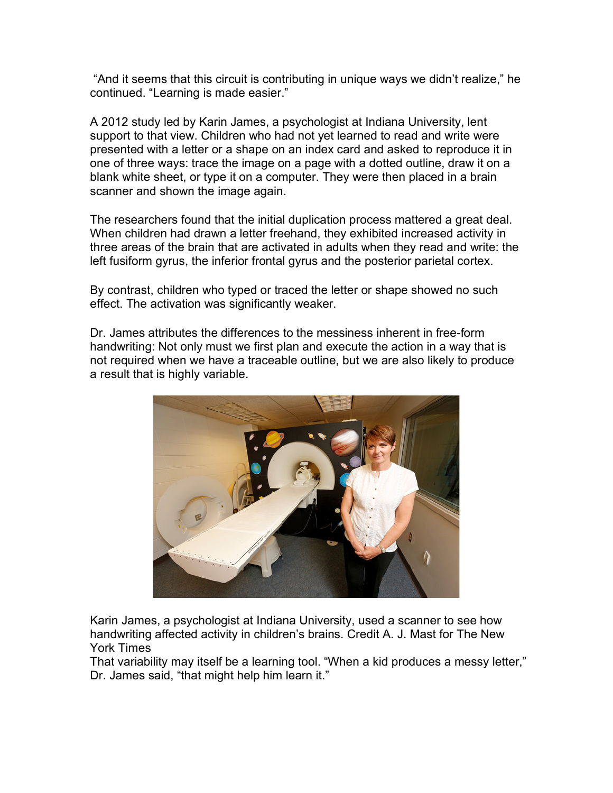"And it seems that this circuit is contributing in unique ways we didn't realize," he continued. "Learning is made easier."

A 2012 study led by Karin James, a psychologist at Indiana University, lent support to that view. Children who had not yet learned to read and write were presented with a letter or a shape on an index card and asked to reproduce it in one of three ways: trace the image on a page with a dotted outline, draw it on a blank white sheet, or type it on a computer. They were then placed in a brain scanner and shown the image again.

The researchers found that the initial duplication process mattered a great deal. When children had drawn a letter freehand, they exhibited increased activity in three areas of the brain that are activated in adults when they read and write: the left fusiform gyrus, the inferior frontal gyrus and the posterior parietal cortex.

By contrast, children who typed or traced the letter or shape showed no such effect. The activation was significantly weaker.

Dr. James attributes the differences to the messiness inherent in free-form handwriting: Not only must we first plan and execute the action in a way that is not required when we have a traceable outline, but we are also likely to produce a result that is highly variable.



Karin James, a psychologist at Indiana University, used a scanner to see how handwriting affected activity in children's brains. Credit A. J. Mast for The New York Times

That variability may itself be a learning tool. "When a kid produces a messy letter," Dr. James said, "that might help him learn it."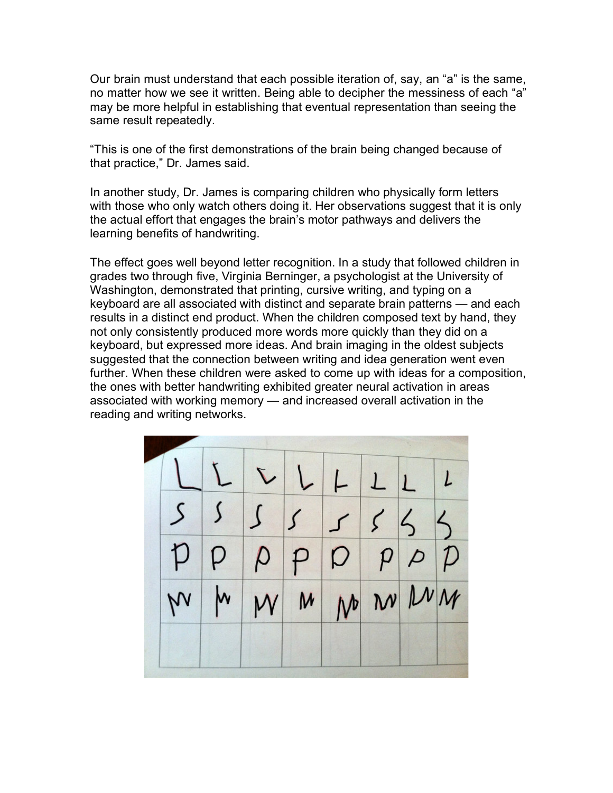Our brain must understand that each possible iteration of, say, an "a" is the same, no matter how we see it written. Being able to decipher the messiness of each "a" may be more helpful in establishing that eventual representation than seeing the same result repeatedly.

"This is one of the first demonstrations of the brain being changed because of that practice," Dr. James said.

In another study, Dr. James is comparing children who physically form letters with those who only watch others doing it. Her observations suggest that it is only the actual effort that engages the brain's motor pathways and delivers the learning benefits of handwriting.

The effect goes well beyond letter recognition. In a study that followed children in grades two through five, Virginia Berninger, a psychologist at the University of Washington, demonstrated that printing, cursive writing, and typing on a keyboard are all associated with distinct and separate brain patterns — and each results in a distinct end product. When the children composed text by hand, they not only consistently produced more words more quickly than they did on a keyboard, but expressed more ideas. And brain imaging in the oldest subjects suggested that the connection between writing and idea generation went even further. When these children were asked to come up with ideas for a composition, the ones with better handwriting exhibited greater neural activation in areas associated with working memory — and increased overall activation in the reading and writing networks.

|  |  | $LLLLLLLL$      |  |  |
|--|--|-----------------|--|--|
|  |  | 5555555         |  |  |
|  |  | p p p p p p p p |  |  |
|  |  | MMMMMMMM        |  |  |
|  |  |                 |  |  |